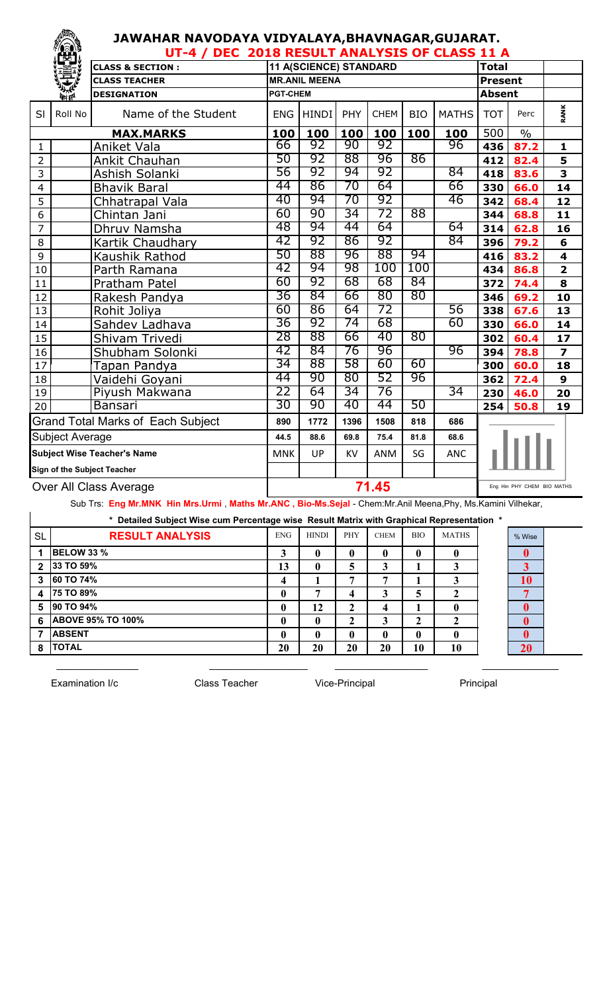## **JAWAHAR NAVODAYA VIDYALAYA,BHAVNAGAR,GUJARAT.**

|                                    | TEST.                        | UT-4 / DEC 2018 RESULT ANALYSIS OF CLASS 11 A |                 |                        |       |             |            |                            |                |               |                         |  |
|------------------------------------|------------------------------|-----------------------------------------------|-----------------|------------------------|-------|-------------|------------|----------------------------|----------------|---------------|-------------------------|--|
|                                    |                              | <b>CLASS &amp; SECTION:</b>                   |                 | 11 A(SCIENCE) STANDARD |       |             |            |                            | <b>Total</b>   |               |                         |  |
|                                    |                              | <b>CLASS TEACHER</b>                          |                 | <b>MR.ANIL MEENA</b>   |       |             |            |                            | <b>Present</b> |               |                         |  |
|                                    | <b><i><u>Port</u>ing</i></b> | <b>DESIGNATION</b>                            | <b>PGT-CHEM</b> |                        |       |             |            |                            | <b>Absent</b>  |               |                         |  |
| SI                                 | Roll No                      | Name of the Student                           | <b>ENG</b>      | <b>HINDI</b>           | PHY   | <b>CHEM</b> | <b>BIO</b> | <b>MATHS</b>               | <b>TOT</b>     | Perc          | RANK                    |  |
|                                    |                              | <b>MAX.MARKS</b>                              | 100             | 100                    | 100   | 100         | 100        | 100                        | 500            | $\frac{0}{0}$ |                         |  |
| 1                                  |                              | Aniket Vala                                   | 66              | 92                     | 90    | 92          |            | 96                         | 436            | 87.2          | $\mathbf{1}$            |  |
| $\overline{2}$                     |                              | Ankit Chauhan                                 | 50              | 92                     | 88    | 96          | 86         |                            | 412            | 82.4          | 5                       |  |
| 3                                  |                              | Ashish Solanki                                | 56              | 92                     | 94    | 92          |            | 84                         | 418            | 83.6          | 3                       |  |
| $\overline{4}$                     |                              | <b>Bhavik Baral</b>                           | 44              | 86                     | 70    | 64          |            | 66                         | 330            | 66.0          | 14                      |  |
| 5                                  |                              | Chhatrapal Vala                               | 40              | 94                     | 70    | 92          |            | 46                         | 342            | 68.4          | 12                      |  |
| 6                                  |                              | Chintan Jani                                  | 60              | 90                     | 34    | 72          | 88         |                            | 344            | 68.8          | 11                      |  |
| 7                                  |                              | Dhruv Namsha                                  | 48              | 94                     | 44    | 64          |            | 64                         | 314            | 62.8          | 16                      |  |
| 8                                  |                              | Kartik Chaudhary                              | 42              | 92                     | 86    | 92          |            | 84                         | 396            | 79.2          | 6                       |  |
| 9                                  |                              | Kaushik Rathod                                | 50              | 88                     | 96    | 88          | 94         |                            | 416            | 83.2          | $\overline{\mathbf{4}}$ |  |
| 10                                 |                              | Parth Ramana                                  | 42              | 94                     | 98    | 100         | 100        |                            | 434            | 86.8          | $\overline{2}$          |  |
| 11                                 |                              | Pratham Patel                                 | 60              | 92                     | 68    | 68          | 84         |                            | 372            | 74.4          | 8                       |  |
| 12                                 |                              | Rakesh Pandya                                 | 36              | 84                     | 66    | 80          | 80         |                            | 346            | 69.2          | 10                      |  |
| 13                                 |                              | Rohit Joliya                                  | 60              | 86                     | 64    | 72          |            | 56                         | 338            | 67.6          | 13                      |  |
| 14                                 |                              | Sahdev Ladhava                                | 36              | 92                     | 74    | 68          |            | 60                         | 330            | 66.0          | 14                      |  |
| 15                                 |                              | Shivam Trivedi                                | 28              | 88                     | 66    | 40          | 80         |                            | 302            | 60.4          | 17                      |  |
| 16                                 |                              | Shubham Solonki                               | 42              | 84                     | 76    | 96          |            | 96                         | 394            | 78.8          | $\overline{\mathbf{z}}$ |  |
| 17                                 |                              | Tapan Pandya                                  | 34              | 88                     | 58    | 60          | 60         |                            | 300            | 60.0          | 18                      |  |
| 18                                 |                              | Vaidehi Goyani                                | 44              | 90                     | 80    | 52          | 96         |                            | 362            | 72.4          | 9                       |  |
| 19                                 |                              | Piyush Makwana                                | 22              | 64                     | 34    | 76          |            | 34                         | 230            | 46.0          | 20                      |  |
| 20                                 |                              | Bansari                                       | 30              | 90                     | 40    | 44          | 50         |                            | 254            | 50.8          | 19                      |  |
|                                    |                              | <b>Grand Total Marks of Each Subject</b>      | 890             | 1772                   | 1396  | 1508        | 818        | 686                        |                |               |                         |  |
| Subject Average                    |                              | 44.5                                          | 88.6            | 69.8                   | 75.4  | 81.8        | 68.6       |                            |                |               |                         |  |
| <b>Subject Wise Teacher's Name</b> |                              | <b>MNK</b>                                    | UP              | <b>KV</b>              | ANM   | SG          | <b>ANC</b> |                            |                |               |                         |  |
|                                    | Sign of the Subject Teacher  |                                               |                 |                        |       |             |            |                            |                |               |                         |  |
| Over All Class Average             |                              |                                               |                 |                        | 71.45 |             |            | Eng Hin PHY CHEM BIO MATHS |                |               |                         |  |

Sub Trs: **Eng Mr.MNK Hin Mrs.Urmi** , **Maths Mr.ANC , Bio-Ms.Sejal** - Chem:Mr.Anil Meena,Phy, Ms.Kamini Vilhekar,

|                         | * Detailed Subject Wise cum Percentage wise Result Matrix with Graphical Representation * |            |              |              |                  |            |              |  |           |  |  |  |  |
|-------------------------|-------------------------------------------------------------------------------------------|------------|--------------|--------------|------------------|------------|--------------|--|-----------|--|--|--|--|
| <b>SL</b>               | <b>RESULT ANALYSIS</b>                                                                    | <b>ENG</b> | <b>HINDI</b> | <b>PHY</b>   | <b>CHEM</b>      | <b>BIO</b> | <b>MATHS</b> |  | % Wise    |  |  |  |  |
|                         | <b>BELOW 33 %</b>                                                                         | 3          |              | $\mathbf{0}$ | 0                | 0          |              |  |           |  |  |  |  |
| $\overline{2}$          | 33 TO 59%                                                                                 | 13         | 0            | 5            | 3                |            |              |  | 3         |  |  |  |  |
| 3                       | 60 TO 74%                                                                                 | 4          |              | 7            | ៗ                |            |              |  | 10        |  |  |  |  |
| $\overline{\mathbf{4}}$ | 75 TO 89%                                                                                 |            | −            | 4            | 3                |            |              |  |           |  |  |  |  |
| 5                       | 90 TO 94%                                                                                 |            | 12           | $\mathbf{2}$ | $\boldsymbol{4}$ |            |              |  | $\bf{0}$  |  |  |  |  |
| 6                       | <b>ABOVE 95% TO 100%</b>                                                                  | 0          | $\mathbf 0$  | 2            | 3                | 2          |              |  |           |  |  |  |  |
|                         | <b>ABSENT</b>                                                                             |            |              | $\mathbf{0}$ | 0                | 0          |              |  |           |  |  |  |  |
| 8                       | <b>TOTAL</b>                                                                              | 20         | 20           | 20           | 20               | 10         | 10           |  | <b>20</b> |  |  |  |  |

Examination I/c **Class Teacher** Vice-Principal Principal Principal

 $\_$  , and the set of the set of the set of the set of the set of the set of the set of the set of the set of the set of the set of the set of the set of the set of the set of the set of the set of the set of the set of th